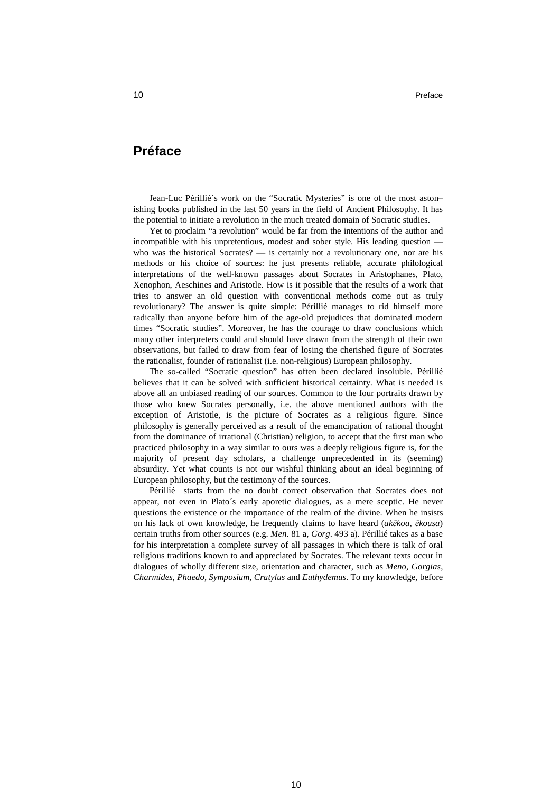## **Préface**

Jean-Luc Périllié´s work on the "Socratic Mysteries" is one of the most aston– ishing books published in the last 50 years in the field of Ancient Philosophy. It has the potential to initiate a revolution in the much treated domain of Socratic studies.

Yet to proclaim "a revolution" would be far from the intentions of the author and incompatible with his unpretentious, modest and sober style. His leading question who was the historical Socrates? — is certainly not a revolutionary one, nor are his methods or his choice of sources: he just presents reliable, accurate philological interpretations of the well-known passages about Socrates in Aristophanes, Plato, Xenophon, Aeschines and Aristotle. How is it possible that the results of a work that tries to answer an old question with conventional methods come out as truly revolutionary? The answer is quite simple: Périllié manages to rid himself more radically than anyone before him of the age-old prejudices that dominated modern times "Socratic studies". Moreover, he has the courage to draw conclusions which many other interpreters could and should have drawn from the strength of their own observations, but failed to draw from fear of losing the cherished figure of Socrates the rationalist, founder of rationalist (i.e. non-religious) European philosophy.

The so-called "Socratic question" has often been declared insoluble. Périllié believes that it can be solved with sufficient historical certainty. What is needed is above all an unbiased reading of our sources. Common to the four portraits drawn by those who knew Socrates personally, i.e. the above mentioned authors with the exception of Aristotle, is the picture of Socrates as a religious figure. Since philosophy is generally perceived as a result of the emancipation of rational thought from the dominance of irrational (Christian) religion, to accept that the first man who practiced philosophy in a way similar to ours was a deeply religious figure is, for the majority of present day scholars, a challenge unprecedented in its (seeming) absurdity. Yet what counts is not our wishful thinking about an ideal beginning of European philosophy, but the testimony of the sources.

Périllié starts from the no doubt correct observation that Socrates does not appear, not even in Plato´s early aporetic dialogues, as a mere sceptic. He never questions the existence or the importance of the realm of the divine. When he insists on his lack of own knowledge, he frequently claims to have heard (*akēkoa*, *ēkousa*) certain truths from other sources (e.g. *Men*. 81 a, *Gorg*. 493 a). Périllié takes as a base for his interpretation a complete survey of all passages in which there is talk of oral religious traditions known to and appreciated by Socrates. The relevant texts occur in dialogues of wholly different size, orientation and character, such as *Meno*, *Gorgias*, *Charmides*, *Phaedo*, *Symposium*, *Cratylus* and *Euthydemus*. To my knowledge, before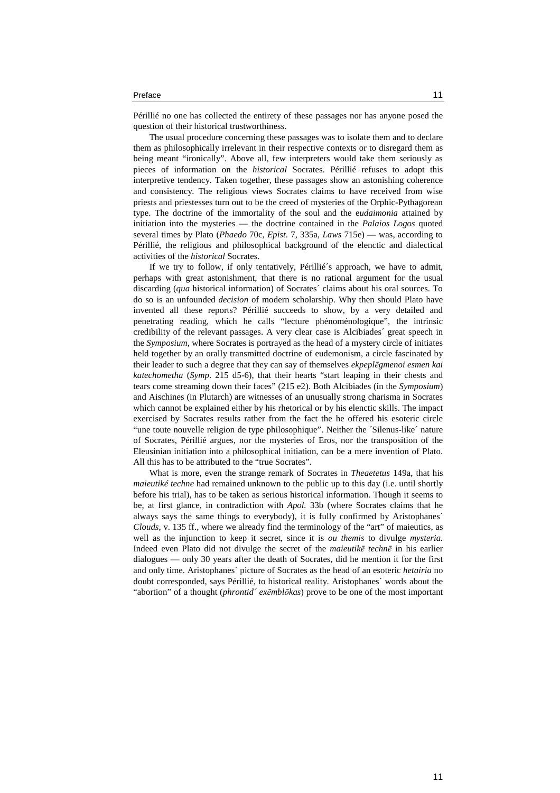## Preface and the contract of the contract of the contract of the contract of the contract of the contract of the contract of the contract of the contract of the contract of the contract of the contract of the contract of th

Périllié no one has collected the entirety of these passages nor has anyone posed the question of their historical trustworthiness.

The usual procedure concerning these passages was to isolate them and to declare them as philosophically irrelevant in their respective contexts or to disregard them as being meant "ironically". Above all, few interpreters would take them seriously as pieces of information on the *historical* Socrates. Périllié refuses to adopt this interpretive tendency. Taken together, these passages show an astonishing coherence and consistency. The religious views Socrates claims to have received from wise priests and priestesses turn out to be the creed of mysteries of the Orphic-Pythagorean type. The doctrine of the immortality of the soul and the e*udaimonia* attained by initiation into the mysteries — the doctrine contained in the *Palaios Logos* quoted several times by Plato (*Phaedo* 70c, *Epist*. 7, 335a, *Laws* 715e) — was, according to Périllié, the religious and philosophical background of the elenctic and dialectical activities of the *historical* Socrates.

If we try to follow, if only tentatively, Périllié´s approach, we have to admit, perhaps with great astonishment, that there is no rational argument for the usual discarding (*qua* historical information) of Socrates´ claims about his oral sources. To do so is an unfounded *decision* of modern scholarship. Why then should Plato have invented all these reports? Périllié succeeds to show, by a very detailed and penetrating reading, which he calls "lecture phénoménologique", the intrinsic credibility of the relevant passages. A very clear case is Alcibiades´ great speech in the *Symposium*, where Socrates is portrayed as the head of a mystery circle of initiates held together by an orally transmitted doctrine of eudemonism, a circle fascinated by their leader to such a degree that they can say of themselves *ekpeplēgmenoi esmen kai katechometha* (*Symp*. 215 d5-6), that their hearts "start leaping in their chests and tears come streaming down their faces" (215 e2). Both Alcibiades (in the *Symposium*) and Aischines (in Plutarch) are witnesses of an unusually strong charisma in Socrates which cannot be explained either by his rhetorical or by his elenctic skills. The impact exercised by Socrates results rather from the fact the he offered his esoteric circle "une toute nouvelle religion de type philosophique". Neither the 'Silenus-like' nature of Socrates, Périllié argues, nor the mysteries of Eros, nor the transposition of the Eleusinian initiation into a philosophical initiation, can be a mere invention of Plato. All this has to be attributed to the "true Socrates".

What is more, even the strange remark of Socrates in *Theaetetus* 149a, that his *maieutiké techne* had remained unknown to the public up to this day (i.e. until shortly before his trial), has to be taken as serious historical information. Though it seems to be, at first glance, in contradiction with *Apol.* 33b (where Socrates claims that he always says the same things to everybody), it is fully confirmed by Aristophanes´ *Clouds*, v. 135 ff., where we already find the terminology of the "art" of maieutics, as well as the injunction to keep it secret, since it is *ou themis* to divulge *mysteria.*  Indeed even Plato did not divulge the secret of the *maieutikē technē* in his earlier dialogues — only 30 years after the death of Socrates, did he mention it for the first and only time. Aristophanes´ picture of Socrates as the head of an esoteric *hetairia* no doubt corresponded, says Périllié, to historical reality. Aristophanes´ words about the "abortion" of a thought (*phrontid´ exēmblōkas*) prove to be one of the most important